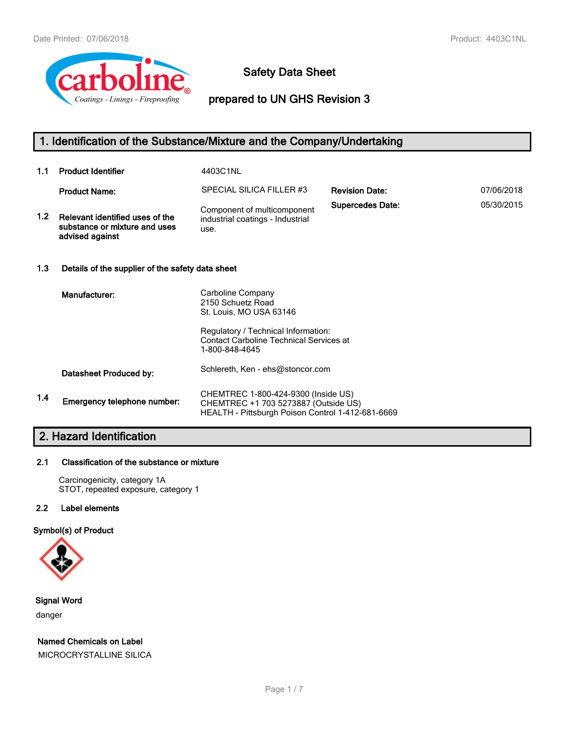

### **Safety Data Sheet**

**prepared to UN GHS Revision 3**

### **1. Identification of the Substance/Mixture and the Company/Undertaking**

| 1.1              | <b>Product Identifier</b>                                                           | 4403C1NL                                                                                                                         |                         |            |
|------------------|-------------------------------------------------------------------------------------|----------------------------------------------------------------------------------------------------------------------------------|-------------------------|------------|
|                  | <b>Product Name:</b>                                                                | SPECIAL SILICA FILLER #3                                                                                                         | <b>Revision Date:</b>   | 07/06/2018 |
| 1.2 <sub>1</sub> | Relevant identified uses of the<br>substance or mixture and uses<br>advised against | Component of multicomponent<br>industrial coatings - Industrial<br>use.                                                          | <b>Supercedes Date:</b> | 05/30/2015 |
| 1.3              | Details of the supplier of the safety data sheet                                    |                                                                                                                                  |                         |            |
|                  | Manufacturer:                                                                       | Carboline Company<br>2150 Schuetz Road<br>St. Louis, MO USA 63146                                                                |                         |            |
|                  |                                                                                     | Regulatory / Technical Information:<br><b>Contact Carboline Technical Services at</b><br>1-800-848-4645                          |                         |            |
|                  | Datasheet Produced by:                                                              | Schlereth, Ken - ehs@stoncor.com                                                                                                 |                         |            |
| 1.4              | Emergency telephone number:                                                         | CHEMTREC 1-800-424-9300 (Inside US)<br>CHEMTREC +1 703 5273887 (Outside US)<br>HEALTH - Pittsburgh Poison Control 1-412-681-6669 |                         |            |

### **2. Hazard Identification**

### **2.1 Classification of the substance or mixture**

Carcinogenicity, category 1A STOT, repeated exposure, category 1

### **2.2 Label elements**

### **Symbol(s) of Product**



**Signal Word** danger

### **Named Chemicals on Label**

MICROCRYSTALLINE SILICA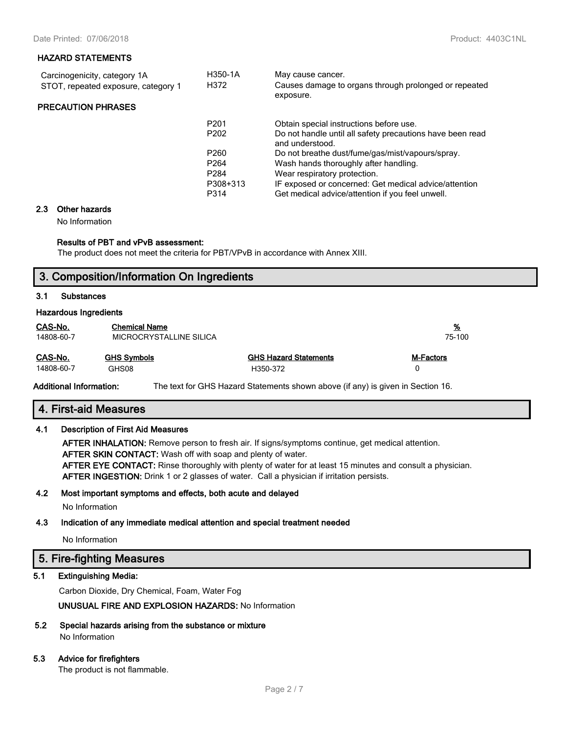| Carcinogenicity, category 1A        | H350-1A          | May cause cancer.                                                            |
|-------------------------------------|------------------|------------------------------------------------------------------------------|
| STOT, repeated exposure, category 1 | H372             | Causes damage to organs through prolonged or repeated<br>exposure.           |
| <b>PRECAUTION PHRASES</b>           |                  |                                                                              |
|                                     | P <sub>201</sub> | Obtain special instructions before use.                                      |
|                                     | P <sub>202</sub> | Do not handle until all safety precautions have been read<br>and understood. |
|                                     | P <sub>260</sub> | Do not breathe dust/fume/gas/mist/vapours/spray.                             |
|                                     | P <sub>264</sub> | Wash hands thoroughly after handling.                                        |
|                                     | P <sub>284</sub> | Wear respiratory protection.                                                 |
|                                     | P308+313         | IF exposed or concerned: Get medical advice/attention                        |
|                                     | P314             | Get medical advice/attention if you feel unwell.                             |
|                                     |                  |                                                                              |

### **2.3 Other hazards**

No Information

#### **Results of PBT and vPvB assessment:**

The product does not meet the criteria for PBT/VPvB in accordance with Annex XIII.

### **3. Composition/Information On Ingredients**

### **3.1 Substances**

#### **Hazardous Ingredients**

| CAS-No.<br><b>Chemical Name</b><br>14808-60-7<br>MICROCRYSTALLINE SILICA |                    |                              | <u>%</u><br>75-100 |  |
|--------------------------------------------------------------------------|--------------------|------------------------------|--------------------|--|
| CAS-No.                                                                  | <b>GHS Symbols</b> | <b>GHS Hazard Statements</b> | M-Factors          |  |
| 14808-60-7                                                               | GHS08              | H350-372                     | n                  |  |

**Additional Information:** The text for GHS Hazard Statements shown above (if any) is given in Section 16.

### **4. First-aid Measures**

### **4.1 Description of First Aid Measures**

**AFTER INHALATION:** Remove person to fresh air. If signs/symptoms continue, get medical attention. **AFTER SKIN CONTACT:** Wash off with soap and plenty of water. **AFTER EYE CONTACT:** Rinse thoroughly with plenty of water for at least 15 minutes and consult a physician. **AFTER INGESTION:** Drink 1 or 2 glasses of water. Call a physician if irritation persists.

### **4.2 Most important symptoms and effects, both acute and delayed**

No Information

### **4.3 Indication of any immediate medical attention and special treatment needed**

No Information

### **5. Fire-fighting Measures**

### **5.1 Extinguishing Media:**

Carbon Dioxide, Dry Chemical, Foam, Water Fog

**UNUSUAL FIRE AND EXPLOSION HAZARDS:** No Information

**5.2 Special hazards arising from the substance or mixture** No Information

### **5.3 Advice for firefighters**

The product is not flammable.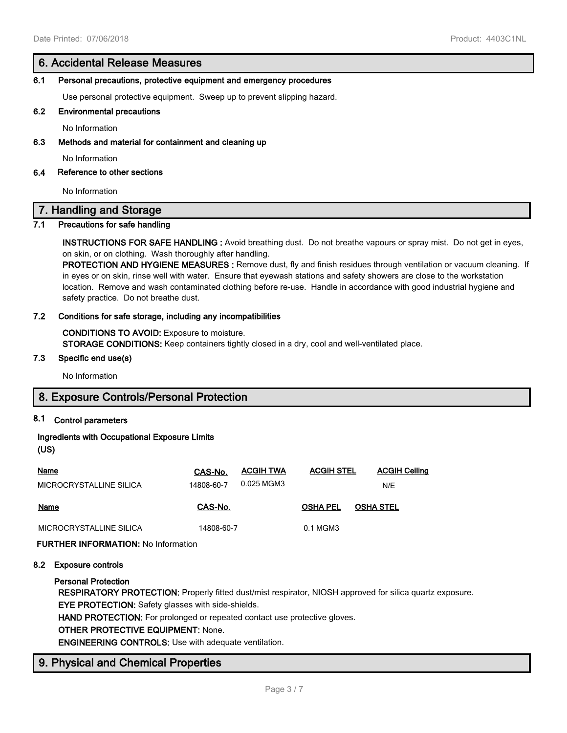### **6. Accidental Release Measures**

### **6.1 Personal precautions, protective equipment and emergency procedures**

Use personal protective equipment. Sweep up to prevent slipping hazard.

### **6.2 Environmental precautions**

No Information

### **6.3 Methods and material for containment and cleaning up**

No Information

### **6.4 Reference to other sections**

No Information

### **7. Handling and Storage**

### **7.1 Precautions for safe handling**

**INSTRUCTIONS FOR SAFE HANDLING :** Avoid breathing dust. Do not breathe vapours or spray mist. Do not get in eyes, on skin, or on clothing. Wash thoroughly after handling.

**PROTECTION AND HYGIENE MEASURES :** Remove dust, fly and finish residues through ventilation or vacuum cleaning. If in eyes or on skin, rinse well with water. Ensure that eyewash stations and safety showers are close to the workstation location. Remove and wash contaminated clothing before re-use. Handle in accordance with good industrial hygiene and safety practice. Do not breathe dust.

### **7.2 Conditions for safe storage, including any incompatibilities**

**CONDITIONS TO AVOID:** Exposure to moisture. **STORAGE CONDITIONS:** Keep containers tightly closed in a dry, cool and well-ventilated place.

### **7.3 Specific end use(s)**

No Information

### **8. Exposure Controls/Personal Protection**

### **8.1 Control parameters**

### **Ingredients with Occupational Exposure Limits**

### **(US)**

| Name                    | CAS-No.    | <b>ACGIH TWA</b> | <b>ACGIH STEL</b> | <b>ACGIH Ceiling</b> |
|-------------------------|------------|------------------|-------------------|----------------------|
| MICROCRYSTALLINE SILICA | 14808-60-7 | 0.025 MGM3       |                   | N/E                  |
| Name                    | CAS-No.    |                  | <b>OSHA PEL</b>   | <b>OSHA STEL</b>     |
| MICROCRYSTALLINE SILICA | 14808-60-7 |                  | 0.1 MGM3          |                      |

**FURTHER INFORMATION:** No Information

### **8.2 Exposure controls**

### **Personal Protection**

**RESPIRATORY PROTECTION:** Properly fitted dust/mist respirator, NIOSH approved for silica quartz exposure. **EYE PROTECTION:** Safety glasses with side-shields.

**HAND PROTECTION:** For prolonged or repeated contact use protective gloves.

### **OTHER PROTECTIVE EQUIPMENT:** None.

**ENGINEERING CONTROLS:** Use with adequate ventilation.

### **9. Physical and Chemical Properties**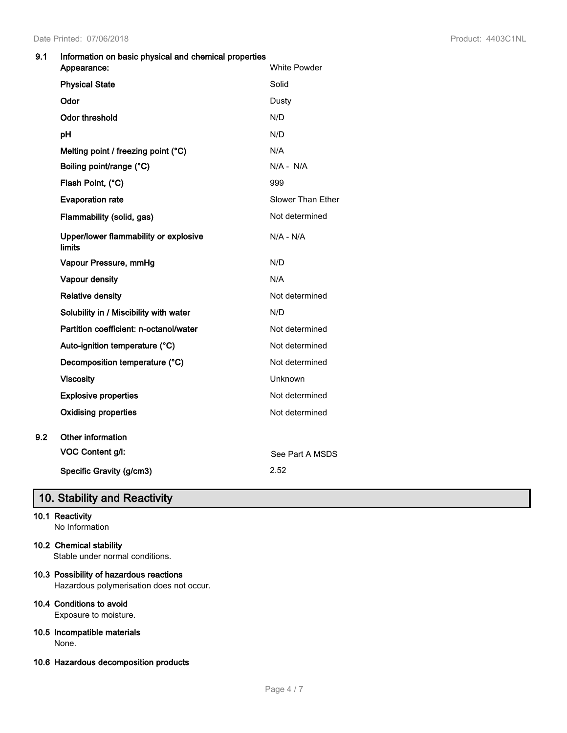### **9.1 Information on basic physical and chemical properties**

|     | Appearance:                                     | <b>White Powder</b>      |
|-----|-------------------------------------------------|--------------------------|
|     | <b>Physical State</b>                           | Solid                    |
|     | Odor                                            | Dusty                    |
|     | <b>Odor threshold</b>                           | N/D                      |
|     | рH                                              | N/D                      |
|     | Melting point / freezing point (°C)             | N/A                      |
|     | Boiling point/range (°C)                        | $N/A - N/A$              |
|     | Flash Point, (°C)                               | 999                      |
|     | <b>Evaporation rate</b>                         | <b>Slower Than Ether</b> |
|     | Flammability (solid, gas)                       | Not determined           |
|     | Upper/lower flammability or explosive<br>limits | $N/A - N/A$              |
|     | Vapour Pressure, mmHg                           | N/D                      |
|     | Vapour density                                  | N/A                      |
|     | <b>Relative density</b>                         | Not determined           |
|     | Solubility in / Miscibility with water          | N/D                      |
|     | Partition coefficient: n-octanol/water          | Not determined           |
|     | Auto-ignition temperature (°C)                  | Not determined           |
|     | Decomposition temperature (°C)                  | Not determined           |
|     | <b>Viscosity</b>                                | Unknown                  |
|     | <b>Explosive properties</b>                     | Not determined           |
|     | <b>Oxidising properties</b>                     | Not determined           |
| 9.2 | Other information                               |                          |
|     | VOC Content g/l:                                | See Part A MSDS          |
|     | Specific Gravity (g/cm3)                        | 2.52                     |

### **10. Stability and Reactivity**

### **10.1 Reactivity**

No Information

### **10.2 Chemical stability**

Stable under normal conditions.

### **10.3 Possibility of hazardous reactions**

Hazardous polymerisation does not occur.

### **10.4 Conditions to avoid**

Exposure to moisture.

#### **10.5 Incompatible materials** None.

**10.6 Hazardous decomposition products**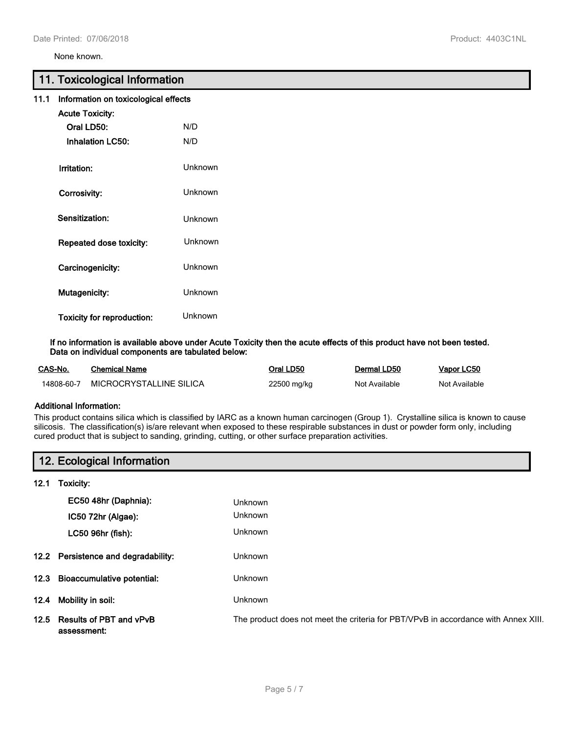None known.

### **11. Toxicological Information**

| 11.1 | Information on toxicological effects |                |
|------|--------------------------------------|----------------|
|      | <b>Acute Toxicity:</b>               |                |
|      | Oral LD50:                           | N/D            |
|      | <b>Inhalation LC50:</b>              | N/D            |
|      | Irritation:                          | <b>Unknown</b> |
|      | Corrosivity:                         | <b>Unknown</b> |
|      | Sensitization:                       | <b>Unknown</b> |
|      | Repeated dose toxicity:              | <b>Unknown</b> |
|      | Carcinogenicity:                     | Unknown        |
|      | Mutagenicity:                        | Unknown        |
|      | <b>Toxicity for reproduction:</b>    | Unknown        |

**If no information is available above under Acute Toxicity then the acute effects of this product have not been tested. Data on individual components are tabulated below:**

| CAS-No.    | Chemical Name           | Oral LD50   | Dermal LD50   | Vapor LC50    |
|------------|-------------------------|-------------|---------------|---------------|
| 14808-60-7 | MICROCRYSTALLINE SILICA | 22500 mg/kg | Not Available | Not Available |

### **Additional Information:**

This product contains silica which is classified by IARC as a known human carcinogen (Group 1). Crystalline silica is known to cause silicosis. The classification(s) is/are relevant when exposed to these respirable substances in dust or powder form only, including cured product that is subject to sanding, grinding, cutting, or other surface preparation activities.

|      | 12. Ecological Information                  |                                                                                    |  |
|------|---------------------------------------------|------------------------------------------------------------------------------------|--|
| 12.1 | Toxicity:                                   |                                                                                    |  |
|      | EC50 48hr (Daphnia):                        | <b>Unknown</b>                                                                     |  |
|      | IC50 72hr (Algae):                          | <b>Unknown</b>                                                                     |  |
|      | LC50 96hr (fish):                           | <b>Unknown</b>                                                                     |  |
|      | 12.2 Persistence and degradability:         | <b>Unknown</b>                                                                     |  |
|      | 12.3 Bioaccumulative potential:             | <b>Unknown</b>                                                                     |  |
| 12.4 | Mobility in soil:                           | <b>Unknown</b>                                                                     |  |
|      | 12.5 Results of PBT and vPvB<br>assessment: | The product does not meet the criteria for PBT/VPvB in accordance with Annex XIII. |  |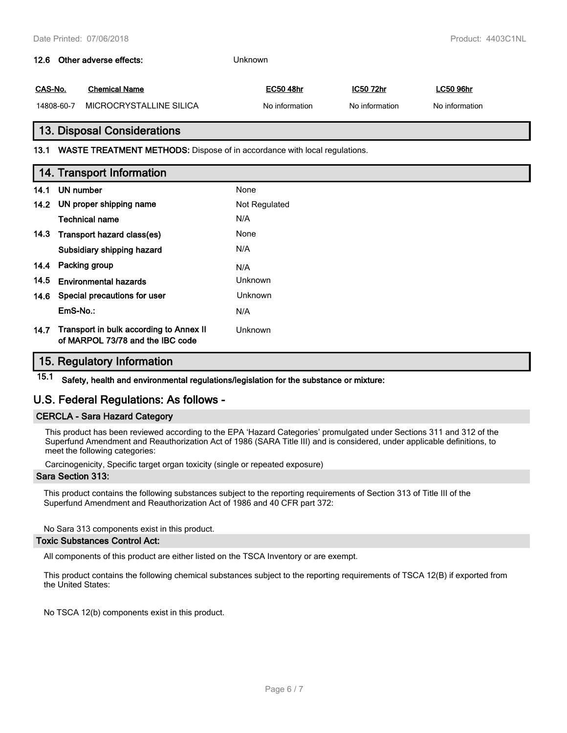## **12.6 Other adverse effects:** Unknown **CAS-No. Chemical Name EC50 48hr IC50 72hr LC50 96hr** 14808-60-7 MICROCRYSTALLINE SILICA No information No information No information **13. Disposal Considerations 13.1 WASTE TREATMENT METHODS:** Dispose of in accordance with local regulations. **14. Transport Information 14.1 UN number** None **14.2 UN proper shipping name** Not Regulated **Technical name** N/A **14.3 Transport hazard class(es)** None **Subsidiary shipping hazard** N/A **14.4 Packing group** N/A

**14.5 Environmental hazards Environmental hazards Unknown 14.6 Special precautions for user Unknown EmS-No.:** N/A **Transport in bulk according to Annex II 14.7** Unknown **of MARPOL 73/78 and the IBC code**

### **15. Regulatory Information**

**15.1 Safety, health and environmental regulations/legislation for the substance or mixture:**

### **U.S. Federal Regulations: As follows -**

### **CERCLA - Sara Hazard Category**

This product has been reviewed according to the EPA 'Hazard Categories' promulgated under Sections 311 and 312 of the Superfund Amendment and Reauthorization Act of 1986 (SARA Title III) and is considered, under applicable definitions, to meet the following categories:

Carcinogenicity, Specific target organ toxicity (single or repeated exposure)

### **Sara Section 313:**

This product contains the following substances subject to the reporting requirements of Section 313 of Title III of the Superfund Amendment and Reauthorization Act of 1986 and 40 CFR part 372:

No Sara 313 components exist in this product.

### **Toxic Substances Control Act:**

All components of this product are either listed on the TSCA Inventory or are exempt.

This product contains the following chemical substances subject to the reporting requirements of TSCA 12(B) if exported from the United States:

No TSCA 12(b) components exist in this product.